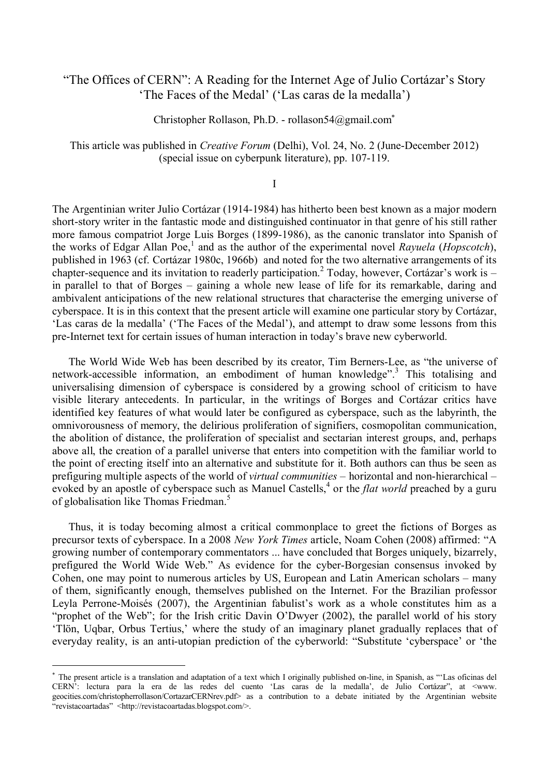# "The Offices of CERN": A Reading for the Internet Age of Julio Cortázar's Story 'The Faces of the Medal' ('Las caras de la medalla')

Christopher Rollason, Ph.D. - rollason54@gmail.com

This article was published in *Creative Forum* (Delhi), Vol. 24, No. 2 (June-December 2012) (special issue on cyberpunk literature), pp. 107-119.

I

The Argentinian writer Julio Cortázar (1914-1984) has hitherto been best known as a major modern short-story writer in the fantastic mode and distinguished continuator in that genre of his still rather more famous compatriot Jorge Luis Borges (1899-1986), as the canonic translator into Spanish of the works of Edgar Allan Poe,<sup>1</sup> and as the author of the experimental novel *Rayuela* (*Hopscotch*), published in 1963 (cf. Cortázar 1980c, 1966b) and noted for the two alternative arrangements of its chapter-sequence and its invitation to readerly participation.<sup>2</sup> Today, however, Cortázar's work is  $$ in parallel to that of Borges – gaining a whole new lease of life for its remarkable, daring and ambivalent anticipations of the new relational structures that characterise the emerging universe of cyberspace. It is in this context that the present article will examine one particular story by Cortázar, 'Las caras de la medalla' ('The Faces of the Medal'), and attempt to draw some lessons from this pre-Internet text for certain issues of human interaction in today's brave new cyberworld.

The World Wide Web has been described by its creator, Tim Berners-Lee, as "the universe of network-accessible information, an embodiment of human knowledge".<sup>3</sup> This totalising and universalising dimension of cyberspace is considered by a growing school of criticism to have visible literary antecedents. In particular, in the writings of Borges and Cortázar critics have identified key features of what would later be configured as cyberspace, such as the labyrinth, the omnivorousness of memory, the delirious proliferation of signifiers, cosmopolitan communication, the abolition of distance, the proliferation of specialist and sectarian interest groups, and, perhaps above all, the creation of a parallel universe that enters into competition with the familiar world to the point of erecting itself into an alternative and substitute for it. Both authors can thus be seen as prefiguring multiple aspects of the world of *virtual communities* – horizontal and non-hierarchical – evoked by an apostle of cyberspace such as Manuel Castells,<sup>4</sup> or the *flat world* preached by a guru of globalisation like Thomas Friedman.<sup>5</sup>

Thus, it is today becoming almost a critical commonplace to greet the fictions of Borges as precursor texts of cyberspace. In a 2008 *New York Times* article, Noam Cohen (2008) affirmed: "A growing number of contemporary commentators ... have concluded that Borges uniquely, bizarrely, prefigured the World Wide Web." As evidence for the cyber-Borgesian consensus invoked by Cohen, one may point to numerous articles by US, European and Latin American scholars – many of them, significantly enough, themselves published on the Internet. For the Brazilian professor Leyla Perrone-Moisés (2007), the Argentinian fabulist's work as a whole constitutes him as a "prophet of the Web"; for the Irish critic Davin O'Dwyer (2002), the parallel world of his story 'Tlön, Uqbar, Orbus Tertius,' where the study of an imaginary planet gradually replaces that of everyday reality, is an anti-utopian prediction of the cyberworld: "Substitute 'cyberspace' or 'the

<u>.</u>

<span id="page-0-0"></span>The present article is a translation and adaptation of a text which I originally published on-line, in Spanish, as "'Las oficinas del CERN': lectura para la era de las redes del cuento 'Las caras de la medalla', de Julio Cortázar", at <www. geocities.com/christopherrollason/CortazarCERNrev.pdf> as a contribution to a debate initiated by the Argentinian website "revistacoartadas" <http://revistacoartadas.blogspot.com/>.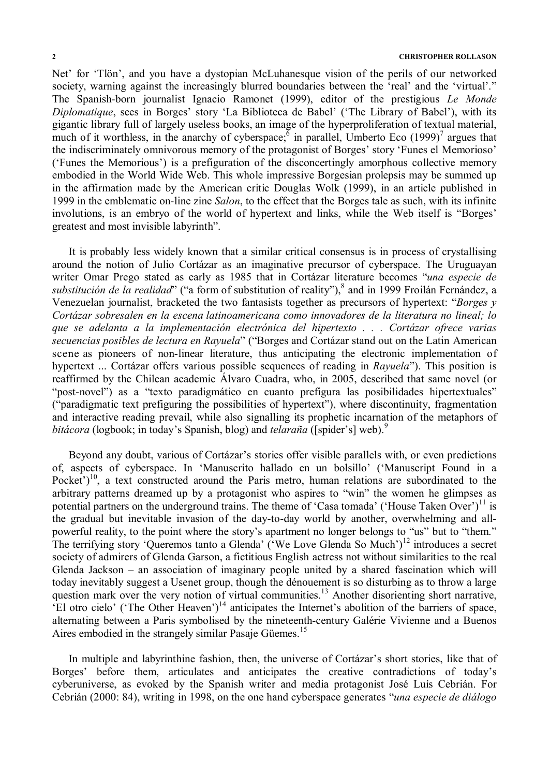# **2 CHRISTOPHER ROLLASON**

Net' for 'Tlön', and you have a dystopian McLuhanesque vision of the perils of our networked society, warning against the increasingly blurred boundaries between the 'real' and the 'virtual'." The Spanish-born journalist Ignacio Ramonet (1999), editor of the prestigious *Le Monde Diplomatique*, sees in Borges' story 'La Biblioteca de Babel' ('The Library of Babel'), with its gigantic library full of largely useless books, an image of the hyperproliferation of textual material, much of it worthless, in the anarchy of cyberspace;  $\delta$  in parallel, Umberto Eco (1999)<sup>7</sup> argues that the indiscriminately omnivorous memory of the protagonist of Borges' story 'Funes el Memorioso' ('Funes the Memorious') is a prefiguration of the disconcertingly amorphous collective memory embodied in the World Wide Web. This whole impressive Borgesian prolepsis may be summed up in the affirmation made by the American critic Douglas Wolk (1999), in an article published in 1999 in the emblematic on-line zine *Salon*, to the effect that the Borges tale as such, with its infinite involutions, is an embryo of the world of hypertext and links, while the Web itself is "Borges' greatest and most invisible labyrinth".

It is probably less widely known that a similar critical consensus is in process of crystallising around the notion of Julio Cortázar as an imaginative precursor of cyberspace. The Uruguayan writer Omar Prego stated as early as 1985 that in Cortázar literature becomes "*una especie de*  substitución de la realidad<sup>?</sup> ("a form of substitution of reality"), <sup>8</sup> and in 1999 Froilán Fernández, a Venezuelan journalist, bracketed the two fantasists together as precursors of hypertext: "*Borges y Cortázar sobresalen en la escena latinoamericana como innovadores de la literatura no lineal; lo que se adelanta a la implementación electrónica del hipertexto . . . Cortázar ofrece varias secuencias posibles de lectura en Rayuela*" ("Borges and Cortázar stand out on the Latin American scene as pioneers of non-linear literature, thus anticipating the electronic implementation of hypertext ... Cortázar offers various possible sequences of reading in *Rayuela*"). This position is reaffirmed by the Chilean academic Álvaro Cuadra, who, in 2005, described that same novel (or "post-novel") as a "texto paradigmático en cuanto prefigura las posibilidades hipertextuales" ("paradigmatic text prefiguring the possibilities of hypertext"), where discontinuity, fragmentation and interactive reading prevail, while also signalling its prophetic incarnation of the metaphors of *bitácora* (logbook; in today's Spanish, blog) and *telaraña* ([spider's] web). 9

Beyond any doubt, various of Cortázar's stories offer visible parallels with, or even predictions of, aspects of cyberspace. In 'Manuscrito hallado en un bolsillo' ('Manuscript Found in a Pocket')<sup>10</sup>, a text constructed around the Paris metro, human relations are subordinated to the arbitrary patterns dreamed up by a protagonist who aspires to "win" the women he glimpses as potential partners on the underground trains. The theme of 'Casa tomada' ('House Taken Over')<sup>11</sup> is the gradual but inevitable invasion of the day-to-day world by another, overwhelming and allpowerful reality, to the point where the story's apartment no longer belongs to "us" but to "them." The terrifying story 'Queremos tanto a Glenda' ('We Love Glenda So Much')<sup>12</sup> introduces a secret society of admirers of Glenda Garson, a fictitious English actress not without similarities to the real Glenda Jackson – an association of imaginary people united by a shared fascination which will today inevitably suggest a Usenet group, though the dénouement is so disturbing as to throw a large question mark over the very notion of virtual communities.<sup>13</sup> Another disorienting short narrative, 'El otro cielo' ('The Other Heaven')<sup>14</sup> anticipates the Internet's abolition of the barriers of space, alternating between a Paris symbolised by the nineteenth-century Galérie Vivienne and a Buenos Aires embodied in the strangely similar Pasaje Güemes.<sup>15</sup>

In multiple and labyrinthine fashion, then, the universe of Cortázar's short stories, like that of Borges' before them, articulates and anticipates the creative contradictions of today's cyberuniverse, as evoked by the Spanish writer and media protagonist José Luís Cebrián. For Cebrián (2000: 84), writing in 1998, on the one hand cyberspace generates "*una especie de diálogo*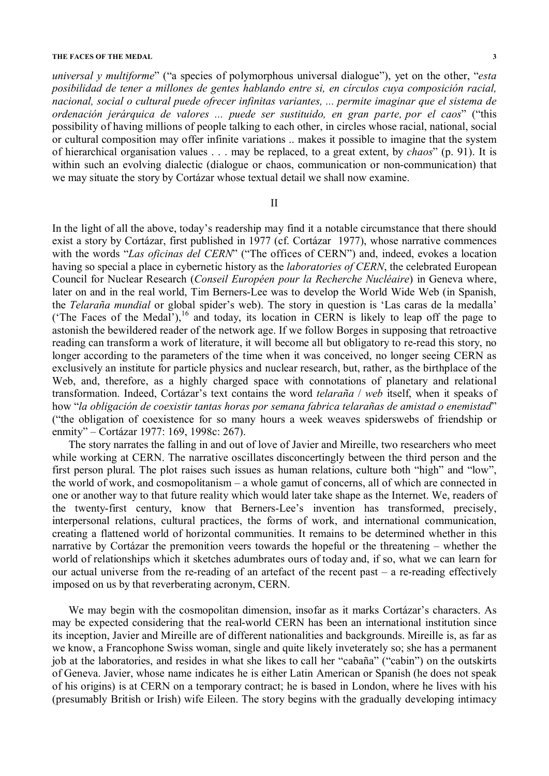#### **THE FACES OF THE MEDAL 3**

*universal y multiforme*" ("a species of polymorphous universal dialogue"), yet on the other, "*esta posibilidad de tener a millones de gentes hablando entre si, en círculos cuya composición racial, nacional, social o cultural puede ofrecer infinitas variantes, ... permite imaginar que el sistema de ordenación jerárquica de valores ... puede ser sustituido, en gran parte, por el caos*" ("this possibility of having millions of people talking to each other, in circles whose racial, national, social or cultural composition may offer infinite variations .. makes it possible to imagine that the system of hierarchical organisation values . . . may be replaced, to a great extent, by *chaos*" (p. 91). It is within such an evolving dialectic (dialogue or chaos, communication or non-communication) that we may situate the story by Cortázar whose textual detail we shall now examine.

# II

In the light of all the above, today's readership may find it a notable circumstance that there should exist a story by Cortázar, first published in 1977 (cf. Cortázar 1977), whose narrative commences with the words "*Las oficinas del CERN*" ("The offices of CERN") and, indeed, evokes a location having so special a place in cybernetic history as the *laboratories of CERN*, the celebrated European Council for Nuclear Research (*Conseil Européen pour la Recherche Nucléaire*) in Geneva where, later on and in the real world, Tim Berners-Lee was to develop the World Wide Web (in Spanish, the *Telaraña mundial* or global spider's web). The story in question is 'Las caras de la medalla' ('The Faces of the Medal'),  $^{16}$  and today, its location in CERN is likely to leap off the page to astonish the bewildered reader of the network age. If we follow Borges in supposing that retroactive reading can transform a work of literature, it will become all but obligatory to re-read this story, no longer according to the parameters of the time when it was conceived, no longer seeing CERN as exclusively an institute for particle physics and nuclear research, but, rather, as the birthplace of the Web, and, therefore, as a highly charged space with connotations of planetary and relational transformation. Indeed, Cortázar's text contains the word *telaraña* / *web* itself, when it speaks of how "*la obligación de coexistir tantas horas por semana fabrica telarañas de amistad o enemistad*" ("the obligation of coexistence for so many hours a week weaves spiderswebs of friendship or enmity" – Cortázar 1977: 169, 1998c: 267).

The story narrates the falling in and out of love of Javier and Mireille, two researchers who meet while working at CERN. The narrative oscillates disconcertingly between the third person and the first person plural. The plot raises such issues as human relations, culture both "high" and "low", the world of work, and cosmopolitanism – a whole gamut of concerns, all of which are connected in one or another way to that future reality which would later take shape as the Internet. We, readers of the twenty-first century, know that Berners-Lee's invention has transformed, precisely, interpersonal relations, cultural practices, the forms of work, and international communication, creating a flattened world of horizontal communities. It remains to be determined whether in this narrative by Cortázar the premonition veers towards the hopeful or the threatening – whether the world of relationships which it sketches adumbrates ours of today and, if so, what we can learn for our actual universe from the re-reading of an artefact of the recent past – a re-reading effectively imposed on us by that reverberating acronym, CERN.

We may begin with the cosmopolitan dimension, insofar as it marks Cortázar's characters. As may be expected considering that the real-world CERN has been an international institution since its inception, Javier and Mireille are of different nationalities and backgrounds. Mireille is, as far as we know, a Francophone Swiss woman, single and quite likely inveterately so; she has a permanent job at the laboratories, and resides in what she likes to call her "cabaña" ("cabin") on the outskirts of Geneva. Javier, whose name indicates he is either Latin American or Spanish (he does not speak of his origins) is at CERN on a temporary contract; he is based in London, where he lives with his (presumably British or Irish) wife Eileen. The story begins with the gradually developing intimacy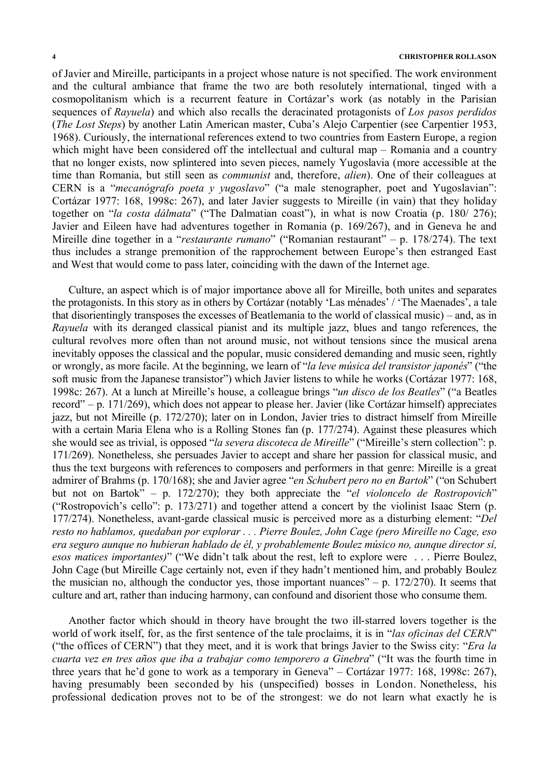# **4 CHRISTOPHER ROLLASON**

of Javier and Mireille, participants in a project whose nature is not specified. The work environment and the cultural ambiance that frame the two are both resolutely international, tinged with a cosmopolitanism which is a recurrent feature in Cortázar's work (as notably in the Parisian sequences of *Rayuela*) and which also recalls the deracinated protagonists of *Los pasos perdidos* (*The Lost Steps*) by another Latin American master, Cuba's Alejo Carpentier (see Carpentier 1953, 1968). Curiously, the international references extend to two countries from Eastern Europe, a region which might have been considered off the intellectual and cultural map – Romania and a country that no longer exists, now splintered into seven pieces, namely Yugoslavia (more accessible at the time than Romania, but still seen as *communist* and, therefore, *alien*). One of their colleagues at CERN is a "*mecanógrafo poeta y yugoslavo*" ("a male stenographer, poet and Yugoslavian": Cortázar 1977: 168, 1998c: 267), and later Javier suggests to Mireille (in vain) that they holiday together on "*la costa dálmata*" ("The Dalmatian coast"), in what is now Croatia (p. 180/ 276); Javier and Eileen have had adventures together in Romania (p. 169/267), and in Geneva he and Mireille dine together in a "*restaurante rumano*" ("Romanian restaurant" – p. 178/274). The text thus includes a strange premonition of the rapprochement between Europe's then estranged East and West that would come to pass later, coinciding with the dawn of the Internet age.

Culture, an aspect which is of major importance above all for Mireille, both unites and separates the protagonists. In this story as in others by Cortázar (notably 'Las ménades' / 'The Maenades', a tale that disorientingly transposes the excesses of Beatlemania to the world of classical music) – and, as in *Rayuela* with its deranged classical pianist and its multiple jazz, blues and tango references, the cultural revolves more often than not around music, not without tensions since the musical arena inevitably opposes the classical and the popular, music considered demanding and music seen, rightly or wrongly, as more facile. At the beginning, we learn of "*la leve música del transistor japonés*" ("the soft music from the Japanese transistor") which Javier listens to while he works (Cortázar 1977: 168, 1998c: 267). At a lunch at Mireille's house, a colleague brings "*un disco de los Beatles*" ("a Beatles record" – p. 171/269), which does not appear to please her. Javier (like Cortázar himself) appreciates jazz, but not Mireille (p. 172/270); later on in London, Javier tries to distract himself from Mireille with a certain Maria Elena who is a Rolling Stones fan (p. 177/274). Against these pleasures which she would see as trivial, is opposed "*la severa discoteca de Mireille*" ("Mireille's stern collection": p. 171/269). Nonetheless, she persuades Javier to accept and share her passion for classical music, and thus the text burgeons with references to composers and performers in that genre: Mireille is a great admirer of Brahms (p. 170/168); she and Javier agree "*en Schubert pero no en Bartok*" ("on Schubert but not on Bartok" – p. 172/270); they both appreciate the "*el violoncelo de Rostropovich*" ("Rostropovich's cello": p. 173/271) and together attend a concert by the violinist Isaac Stern (p. 177/274). Nonetheless, avant-garde classical music is perceived more as a disturbing element: "*Del resto no hablamos, quedaban por explorar . . . Pierre Boulez, John Cage (pero Mireille no Cage, eso era seguro aunque no hubieran hablado de él, y probablemente Boulez músico no, aunque director sí, esos matices importantes)*" ("We didn't talk about the rest, left to explore were . . . Pierre Boulez, John Cage (but Mireille Cage certainly not, even if they hadn't mentioned him, and probably Boulez the musician no, although the conductor yes, those important nuances"  $-$  p. 172/270). It seems that culture and art, rather than inducing harmony, can confound and disorient those who consume them.

Another factor which should in theory have brought the two ill-starred lovers together is the world of work itself, for, as the first sentence of the tale proclaims, it is in "*las oficinas del CERN*" ("the offices of CERN") that they meet, and it is work that brings Javier to the Swiss city: "*Era la cuarta vez en tres años que iba a trabajar como temporero a Ginebra*" ("It was the fourth time in three years that he'd gone to work as a temporary in Geneva" – Cortázar 1977: 168, 1998c: 267), having presumably been seconded by his (unspecified) bosses in London. Nonetheless, his professional dedication proves not to be of the strongest: we do not learn what exactly he is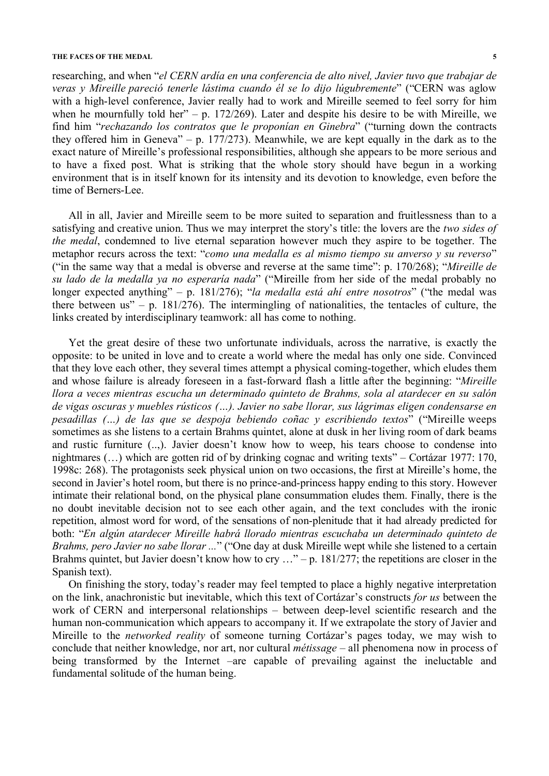#### **THE FACES OF THE MEDAL 5**

researching, and when "*el CERN ardía en una conferencia de alto nivel, Javier tuvo que trabajar de veras y Mireille pareció tenerle lástima cuando él se lo dijo lúgubremente*" ("CERN was aglow with a high-level conference, Javier really had to work and Mireille seemed to feel sorry for him when he mournfully told her" – p. 172/269). Later and despite his desire to be with Mireille, we find him "*rechazando los contratos que le proponían en Ginebra*" ("turning down the contracts they offered him in Geneva" – p. 177/273). Meanwhile, we are kept equally in the dark as to the exact nature of Mireille's professional responsibilities, although she appears to be more serious and to have a fixed post. What is striking that the whole story should have begun in a working environment that is in itself known for its intensity and its devotion to knowledge, even before the time of Berners-Lee.

All in all, Javier and Mireille seem to be more suited to separation and fruitlessness than to a satisfying and creative union. Thus we may interpret the story's title: the lovers are the *two sides of the medal*, condemned to live eternal separation however much they aspire to be together. The metaphor recurs across the text: "*como una medalla es al mismo tiempo su anverso y su reverso*" ("in the same way that a medal is obverse and reverse at the same time": p. 170/268); "*Mireille de su lado de la medalla ya no esperaría nada*" ("Mireille from her side of the medal probably no longer expected anything" – p. 181/276); "*la medalla está ahí entre nosotros*" ("the medal was there between us" – p.  $181/276$ ). The intermingling of nationalities, the tentacles of culture, the links created by interdisciplinary teamwork: all has come to nothing.

Yet the great desire of these two unfortunate individuals, across the narrative, is exactly the opposite: to be united in love and to create a world where the medal has only one side. Convinced that they love each other, they several times attempt a physical coming-together, which eludes them and whose failure is already foreseen in a fast-forward flash a little after the beginning: "*Mireille llora a veces mientras escucha un determinado quinteto de Brahms, sola al atardecer en su salón de vigas oscuras y muebles rústicos (…). Javier no sabe llorar, sus lágrimas eligen condensarse en pesadillas (…) de las que se despoja bebiendo coñac y escribiendo textos*" ("Mireille weeps sometimes as she listens to a certain Brahms quintet, alone at dusk in her living room of dark beams and rustic furniture (..,). Javier doesn't know how to weep, his tears choose to condense into nightmares (…) which are gotten rid of by drinking cognac and writing texts" – Cortázar 1977: 170, 1998c: 268). The protagonists seek physical union on two occasions, the first at Mireille's home, the second in Javier's hotel room, but there is no prince-and-princess happy ending to this story. However intimate their relational bond, on the physical plane consummation eludes them. Finally, there is the no doubt inevitable decision not to see each other again, and the text concludes with the ironic repetition, almost word for word, of the sensations of non-plenitude that it had already predicted for both: "*En algún atardecer Mireille habrá llorado mientras escuchaba un determinado quinteto de Brahms, pero Javier no sabe llorar ...*" ("One day at dusk Mireille wept while she listened to a certain Brahms quintet, but Javier doesn't know how to cry  $\ldots$ " – p. 181/277; the repetitions are closer in the Spanish text).

On finishing the story, today's reader may feel tempted to place a highly negative interpretation on the link, anachronistic but inevitable, which this text of Cortázar's constructs *for us* between the work of CERN and interpersonal relationships – between deep-level scientific research and the human non-communication which appears to accompany it. If we extrapolate the story of Javier and Mireille to the *networked reality* of someone turning Cortázar's pages today, we may wish to conclude that neither knowledge, nor art, nor cultural *métissage* – all phenomena now in process of being transformed by the Internet –are capable of prevailing against the ineluctable and fundamental solitude of the human being.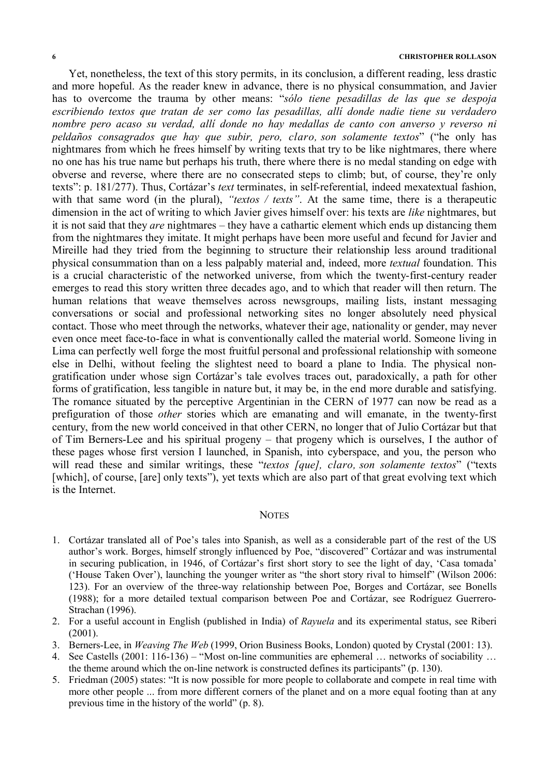Yet, nonetheless, the text of this story permits, in its conclusion, a different reading, less drastic and more hopeful. As the reader knew in advance, there is no physical consummation, and Javier has to overcome the trauma by other means: "*sólo tiene pesadillas de las que se despoja escribiendo textos que tratan de ser como las pesadillas, allí donde nadie tiene su verdadero nombre pero acaso su verdad, allí donde no hay medallas de canto con anverso y reverso ni peldaños consagrados que hay que subir, pero, claro, son solamente textos*" ("he only has nightmares from which he frees himself by writing texts that try to be like nightmares, there where no one has his true name but perhaps his truth, there where there is no medal standing on edge with obverse and reverse, where there are no consecrated steps to climb; but, of course, they're only texts": p. 181/277). Thus, Cortázar's *text* terminates, in self-referential, indeed mexatextual fashion, with that same word (in the plural), *"textos / texts"*. At the same time, there is a therapeutic dimension in the act of writing to which Javier gives himself over: his texts are *like* nightmares, but it is not said that they *are* nightmares – they have a cathartic element which ends up distancing them from the nightmares they imitate. It might perhaps have been more useful and fecund for Javier and Mireille had they tried from the beginning to structure their relationship less around traditional physical consummation than on a less palpably material and, indeed, more *textual* foundation. This is a crucial characteristic of the networked universe, from which the twenty-first-century reader emerges to read this story written three decades ago, and to which that reader will then return. The human relations that weave themselves across newsgroups, mailing lists, instant messaging conversations or social and professional networking sites no longer absolutely need physical contact. Those who meet through the networks, whatever their age, nationality or gender, may never even once meet face-to-face in what is conventionally called the material world. Someone living in Lima can perfectly well forge the most fruitful personal and professional relationship with someone else in Delhi, without feeling the slightest need to board a plane to India. The physical nongratification under whose sign Cortázar's tale evolves traces out, paradoxically, a path for other forms of gratification, less tangible in nature but, it may be, in the end more durable and satisfying. The romance situated by the perceptive Argentinian in the CERN of 1977 can now be read as a prefiguration of those *other* stories which are emanating and will emanate, in the twenty-first century, from the new world conceived in that other CERN, no longer that of Julio Cortázar but that of Tim Berners-Lee and his spiritual progeny – that progeny which is ourselves, I the author of these pages whose first version I launched, in Spanish, into cyberspace, and you, the person who will read these and similar writings, these "*textos [que], claro, son solamente textos*" ("texts [which], of course, [are] only texts"), yet texts which are also part of that great evolving text which is the Internet.

### **NOTES**

- 1. Cortázar translated all of Poe's tales into Spanish, as well as a considerable part of the rest of the US author's work. Borges, himself strongly influenced by Poe, "discovered" Cortázar and was instrumental in securing publication, in 1946, of Cortázar's first short story to see the light of day, 'Casa tomada' ('House Taken Over'), launching the younger writer as "the short story rival to himself" (Wilson 2006: 123). For an overview of the three-way relationship between Poe, Borges and Cortázar, see Bonells (1988); for a more detailed textual comparison between Poe and Cortázar, see Rodríguez Guerrero-Strachan (1996).
- 2. For a useful account in English (published in India) of *Rayuela* and its experimental status, see Riberi  $(2001)$
- 3. Berners-Lee, in *Weaving The Web* (1999, Orion Business Books, London) quoted by Crystal (2001: 13).
- 4. See Castells (2001: 116-136) "Most on-line communities are ephemeral … networks of sociability … the theme around which the on-line network is constructed defines its participants" (p. 130).
- 5. Friedman (2005) states: "It is now possible for more people to collaborate and compete in real time with more other people ... from more different corners of the planet and on a more equal footing than at any previous time in the history of the world" (p. 8).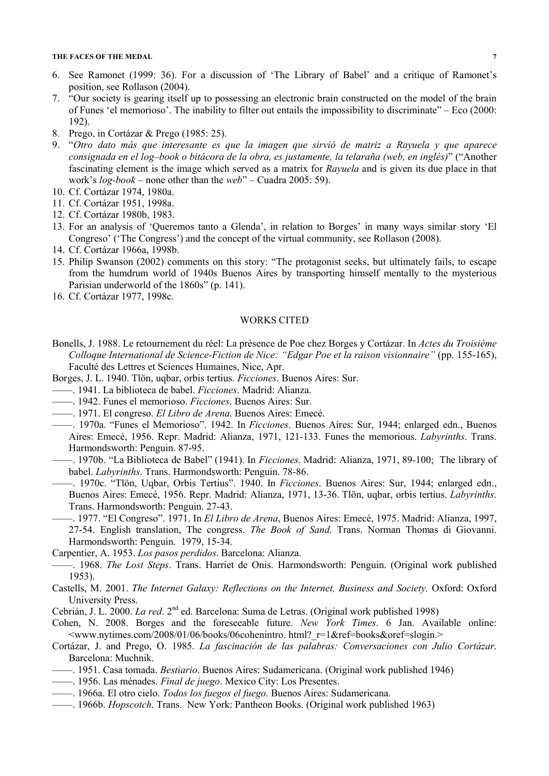#### **THE FACES OF THE MEDAL 7**

- 6. See Ramonet (1999: 36). For a discussion of 'The Library of Babel' and a critique of Ramonet's position, see Rollason (2004).
- 7. "Our society is gearing itself up to possessing an electronic brain constructed on the model of the brain of Funes 'el memorioso'. The inability to filter out entails the impossibility to discriminate" – Eco (2000: 192).
- 8. Prego, in Cortázar & Prego (1985: 25).
- 9. "*Otro dato más que interesante es que la imagen que sirvió de matriz a Rayuela y que aparece consignada en el log–book o bitácora de la obra, es justamente, la telaraña (web, en inglés)*" ("Another fascinating element is the image which served as a matrix for *Rayuela* and is given its due place in that work's *log-book* – none other than the *web*" – Cuadra 2005: 59).
- 10. Cf. Cortázar 1974, 1980a.
- 11. Cf. Cortázar 1951, 1998a.
- 12. Cf. Cortázar 1980b, 1983.
- 13. For an analysis of 'Queremos tanto a Glenda', in relation to Borges' in many ways similar story 'El Congreso' ('The Congress') and the concept of the virtual community, see Rollason (2008).
- 14. Cf. Cortázar 1966a, 1998b.
- 15. Philip Swanson (2002) comments on this story: "The protagonist seeks, but ultimately fails, to escape from the humdrum world of 1940s Buenos Aires by transporting himself mentally to the mysterious Parisian underworld of the 1860s" (p. 141).
- 16. Cf. Cortázar 1977, 1998c.

# WORKS CITED

- Bonells, J. 1988. Le retournement du réel: La présence de Poe chez Borges y Cortázar. In *Actes du Troisième Colloque International de Science-Fiction de Nice: "Edgar Poe et la raison visionnaire"* (pp. 155-165), Faculté des Lettres et Sciences Humaines, Nice, Apr.
- Borges, J. L. 1940. Tlön, uqbar, orbis tertius. *Ficciones*. Buenos Aires: Sur.
- ——. 1941. La biblioteca de babel. *Ficciones*. Madrid: Alianza.
- ——. 1942. Funes el memorioso. *Ficciones*. Buenos Aires: Sur.
- ——. 1971. El congreso. *El Libro de Arena*. Buenos Aires: Emecé.
- ——. 1970a. "Funes el Memorioso". 1942. In *Ficciones*. Buenos Aires: Sur, 1944; enlarged edn., Buenos Aires: Emecé, 1956. Repr. Madrid: Alianza, 1971, 121-133. Funes the memorious. *Labyrinths*. Trans. Harmondsworth: Penguin. 87-95.
- ——. 1970b. "La Biblioteca de Babel" (1941). In *Ficciones*. Madrid: Alianza, 1971, 89-100; The library of babel. *Labyrinths*. Trans. Harmondsworth: Penguin. 78-86.
	- ——. 1970c. "Tlön, Uqbar, Orbis Tertius". 1940. In *Ficciones*. Buenos Aires: Sur, 1944; enlarged edn., Buenos Aires: Emecé, 1956. Repr. Madrid: Alianza, 1971, 13-36. Tlön, uqbar, orbis tertius. *Labyrinths*. Trans. Harmondsworth: Penguin. 27-43.
	- ——. 1977. "El Congreso". 1971. In *El Libro de Arena*, Buenos Aires: Emecé, 1975. Madrid: Alianza, 1997, 27-54. English translation, The congress. *The Book of Sand*. Trans. Norman Thomas di Giovanni. Harmondsworth: Penguin. 1979, 15-34.
- Carpentier, A. 1953. *Los pasos perdidos*. Barcelona: Alianza.
- ——. 1968. *The Lost Steps*. Trans. Harriet de Onis. Harmondsworth: Penguin. (Original work published 1953).
- Castells, M. 2001. *The Internet Galaxy: Reflections on the Internet, Business and Society.* Oxford: Oxford University Press.
- Cebrián, J. L. 2000. *La red.* 2<sup>nd</sup> ed. Barcelona: Suma de Letras. (Original work published 1998)
- Cohen, N. 2008. Borges and the foreseeable future. *New York Times*. 6 Jan. Available online: <www.nytimes.com/2008/01/06/books/06cohenintro. html?\_r=1&ref=books&oref=slogin.>
- Cortázar, J. and Prego, O. 1985. *La fascinación de las palabras: Conversaciones con Julio Cortázar*. Barcelona: Muchnik.
- ——. 1951. Casa tomada. *Bestiario*. Buenos Aires: Sudamericana. (Original work published 1946)
- ——. 1956. Las ménades. *Final de juego*. Mexico City: Los Presentes.
- ——. 1966a. El otro cielo. *Todos los fuegos el fuego*. Buenos Aires: Sudamericana.
- ——. 1966b. *Hopscotch*. Trans. New York: Pantheon Books. (Original work published 1963)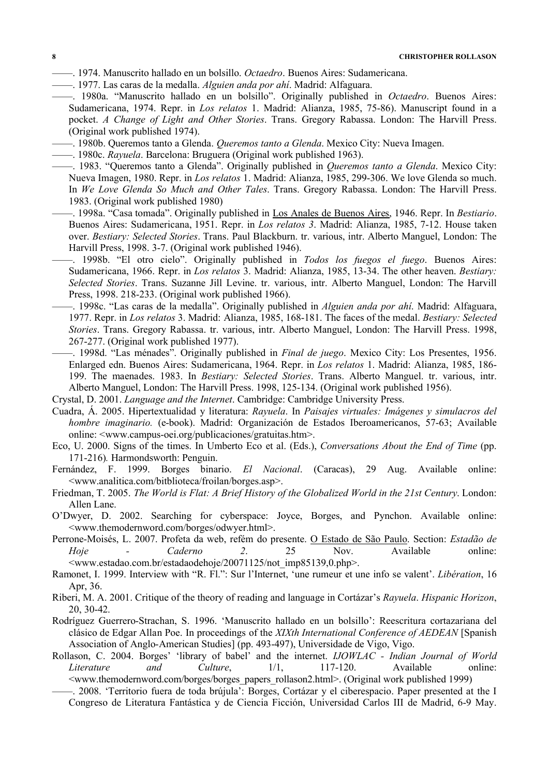- ——. 1974. Manuscrito hallado en un bolsillo. *Octaedro*. Buenos Aires: Sudamericana.
- ——. 1977. Las caras de la medalla. *Alguien anda por ahí*. Madrid: Alfaguara.
- ——. 1980a. "Manuscrito hallado en un bolsillo". Originally published in *Octaedro*. Buenos Aires: Sudamericana, 1974. Repr. in *Los relatos* 1. Madrid: Alianza, 1985, 75-86). Manuscript found in a pocket. *A Change of Light and Other Stories*. Trans. Gregory Rabassa. London: The Harvill Press. (Original work published 1974).
- ——. 1980b. Queremos tanto a Glenda. *Queremos tanto a Glenda*. Mexico City: Nueva Imagen.
- ——. 1980c. *Rayuela*. Barcelona: Bruguera (Original work published 1963).
- ——. 1983. "Queremos tanto a Glenda". Originally published in *Queremos tanto a Glenda*. Mexico City: Nueva Imagen, 1980. Repr. in *Los relatos* 1. Madrid: Alianza, 1985, 299-306. We love Glenda so much. In *We Love Glenda So Much and Other Tales*. Trans. Gregory Rabassa. London: The Harvill Press. 1983. (Original work published 1980)
- ——. 1998a. "Casa tomada". Originally published in Los Anales de Buenos Aires, 1946. Repr. In *Bestiario*. Buenos Aires: Sudamericana, 1951. Repr. in *Los relatos 3*. Madrid: Alianza, 1985, 7-12. House taken over. *Bestiary: Selected Stories*. Trans. Paul Blackburn. tr. various, intr. Alberto Manguel, London: The Harvill Press, 1998. 3-7. (Original work published 1946).
- ——. 1998b. "El otro cielo". Originally published in *Todos los fuegos el fuego*. Buenos Aires: Sudamericana, 1966. Repr. in *Los relatos* 3. Madrid: Alianza, 1985, 13-34. The other heaven. *Bestiary: Selected Stories*. Trans. Suzanne Jill Levine. tr. various, intr. Alberto Manguel, London: The Harvill Press, 1998. 218-233. (Original work published 1966).
- ——. 1998c. "Las caras de la medalla". Originally published in *Alguien anda por ahí*. Madrid: Alfaguara, 1977. Repr. in *Los relatos* 3. Madrid: Alianza, 1985, 168-181. The faces of the medal. *Bestiary: Selected Stories*. Trans. Gregory Rabassa. tr. various, intr. Alberto Manguel, London: The Harvill Press. 1998, 267-277. (Original work published 1977).
- ——. 1998d. "Las ménades". Originally published in *Final de juego*. Mexico City: Los Presentes, 1956. Enlarged edn. Buenos Aires: Sudamericana, 1964. Repr. in *Los relatos* 1. Madrid: Alianza, 1985, 186- 199. The maenades. 1983. In *Bestiary: Selected Stories*. Trans. Alberto Manguel. tr. various, intr. Alberto Manguel, London: The Harvill Press. 1998, 125-134. (Original work published 1956).
- Crystal, D. 2001. *Language and the Internet*. Cambridge: Cambridge University Press.
- Cuadra, Á. 2005. Hipertextualidad y literatura: *Rayuela*. In *Paisajes virtuales: Imágenes y simulacros del hombre imaginario.* (e-book). Madrid: Organización de Estados Iberoamericanos, 57-63; Available online: <www.campus-oei.org/publicaciones/gratuitas.htm>.
- Eco, U. 2000. Signs of the times. In Umberto Eco et al. (Eds.), *Conversations About the End of Time* (pp. 171-216)*.* Harmondsworth: Penguin.
- Fernández, F. 1999. Borges binario. *El Nacional*. (Caracas), 29 Aug. Available online: <www.analitica.com/bitblioteca/froilan/borges.asp>.
- Friedman, T. 2005. *The World is Flat: A Brief History of the Globalized World in the 21st Century*. London: Allen Lane.
- O'Dwyer, D. 2002. Searching for cyberspace: Joyce, Borges, and Pynchon. Available online: <www.themodernword.com/borges/odwyer.html>.
- Perrone-Moisés, L. 2007. Profeta da web, refém do presente. O Estado de São Paulo. Section: *Estadão de Hoje - Caderno 2*. 25 Nov. Available online: <www.estadao.com.br/estadaodehoje/20071125/not\_imp85139,0.php>.
- Ramonet, I. 1999. Interview with "R. Fl.": Sur l'Internet, 'une rumeur et une info se valent'. *Libération*, 16 Apr, 36.
- Riberi, M. A. 2001. Critique of the theory of reading and language in Cortázar's *Rayuela*. *Hispanic Horizon*, 20, 30-42.
- Rodríguez Guerrero-Strachan, S. 1996. 'Manuscrito hallado en un bolsillo': Reescritura cortazariana del clásico de Edgar Allan Poe. In proceedings of the *XIXth International Conference of AEDEAN* [Spanish Association of Anglo-American Studies] (pp. 493-497), Universidade de Vigo, Vigo.
- Rollason, C. 2004. Borges' 'library of babel' and the internet. *IJOWLAC Indian Journal of World Literature and Culture*, 1/1, 117-120. Available online: <www.themodernword.com/borges/borges\_papers\_rollason2.html>. (Original work published 1999)
	- ——. 2008. 'Territorio fuera de toda brújula': Borges, Cortázar y el ciberespacio. Paper presented at the I Congreso de Literatura Fantástica y de Ciencia Ficción, Universidad Carlos III de Madrid, 6-9 May.